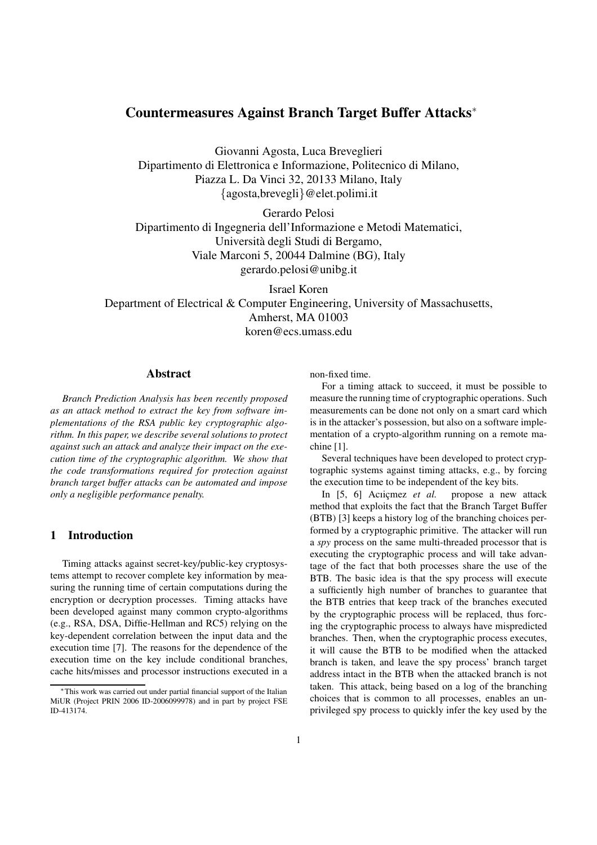# **Countermeasures Against Branch Target Buffer Attacks**<sup>∗</sup>

Giovanni Agosta, Luca Breveglieri Dipartimento di Elettronica e Informazione, Politecnico di Milano, Piazza L. Da Vinci 32, 20133 Milano, Italy {agosta,brevegli}@elet.polimi.it

Gerardo Pelosi Dipartimento di Ingegneria dell'Informazione e Metodi Matematici, Università degli Studi di Bergamo, Viale Marconi 5, 20044 Dalmine (BG), Italy gerardo.pelosi@unibg.it

Israel Koren Department of Electrical & Computer Engineering, University of Massachusetts, Amherst, MA 01003 koren@ecs.umass.edu

## **Abstract**

*Branch Prediction Analysis has been recently proposed as an attack method to extract the key from software implementations of the RSA public key cryptographic algorithm. In this paper, we describe several solutions to protect against such an attack and analyze their impact on the execution time of the cryptographic algorithm. We show that the code transformations required for protection against branch target buffer attacks can be automated and impose only a negligible performance penalty.*

# **1 Introduction**

Timing attacks against secret-key/public-key cryptosystems attempt to recover complete key information by measuring the running time of certain computations during the encryption or decryption processes. Timing attacks have been developed against many common crypto-algorithms (e.g., RSA, DSA, Diffie-Hellman and RC5) relying on the key-dependent correlation between the input data and the execution time [7]. The reasons for the dependence of the execution time on the key include conditional branches, cache hits/misses and processor instructions executed in a non-fixed time.

For a timing attack to succeed, it must be possible to measure the running time of cryptographic operations. Such measurements can be done not only on a smart card which is in the attacker's possession, but also on a software implementation of a crypto-algorithm running on a remote machine [1].

Several techniques have been developed to protect cryptographic systems against timing attacks, e.g., by forcing the execution time to be independent of the key bits.

In [5, 6] Aciicmez *et al.* propose a new attack method that exploits the fact that the Branch Target Buffer (BTB) [3] keeps a history log of the branching choices performed by a cryptographic primitive. The attacker will run a *spy* process on the same multi-threaded processor that is executing the cryptographic process and will take advantage of the fact that both processes share the use of the BTB. The basic idea is that the spy process will execute a sufficiently high number of branches to guarantee that the BTB entries that keep track of the branches executed by the cryptographic process will be replaced, thus forcing the cryptographic process to always have mispredicted branches. Then, when the cryptographic process executes, it will cause the BTB to be modified when the attacked branch is taken, and leave the spy process' branch target address intact in the BTB when the attacked branch is not taken. This attack, being based on a log of the branching choices that is common to all processes, enables an unprivileged spy process to quickly infer the key used by the

<sup>∗</sup>This work was carried out under partial financial support of the Italian MiUR (Project PRIN 2006 ID-2006099978) and in part by project FSE ID-413174.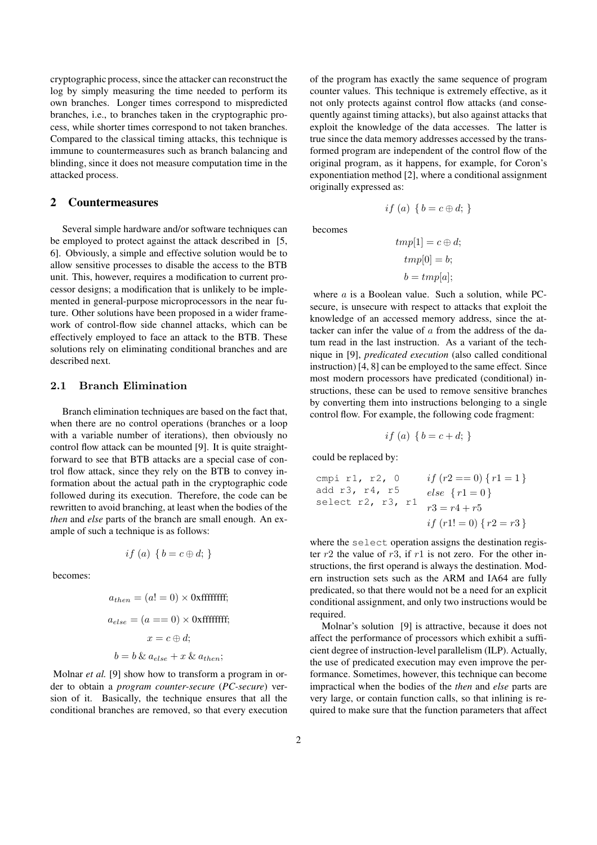cryptographic process, since the attacker can reconstruct the log by simply measuring the time needed to perform its own branches. Longer times correspond to mispredicted branches, i.e., to branches taken in the cryptographic process, while shorter times correspond to not taken branches. Compared to the classical timing attacks, this technique is immune to countermeasures such as branch balancing and blinding, since it does not measure computation time in the attacked process.

## **2 Countermeasures**

Several simple hardware and/or software techniques can be employed to protect against the attack described in [5, 6]. Obviously, a simple and effective solution would be to allow sensitive processes to disable the access to the BTB unit. This, however, requires a modification to current processor designs; a modification that is unlikely to be implemented in general-purpose microprocessors in the near future. Other solutions have been proposed in a wider framework of control-flow side channel attacks, which can be effectively employed to face an attack to the BTB. These solutions rely on eliminating conditional branches and are described next.

## 2.1 Branch Elimination

Branch elimination techniques are based on the fact that, when there are no control operations (branches or a loop with a variable number of iterations), then obviously no control flow attack can be mounted [9]. It is quite straightforward to see that BTB attacks are a special case of control flow attack, since they rely on the BTB to convey information about the actual path in the cryptographic code followed during its execution. Therefore, the code can be rewritten to avoid branching, at least when the bodies of the *then* and *else* parts of the branch are small enough. An example of such a technique is as follows:

$$
if (a) \ \{b=c \oplus d; \}
$$

becomes:

$$
a_{then} = (a! = 0) \times 0 \times \text{Reffffffff}
$$
\n
$$
a_{else} = (a == 0) \times 0 \times \text{Reffffffff}
$$
\n
$$
x = c \oplus d
$$
\n
$$
b = b \& a_{else} + x \& a_{then}
$$

Molnar *et al.* [9] show how to transform a program in order to obtain a *program counter-secure* (*PC-secure*) version of it. Basically, the technique ensures that all the conditional branches are removed, so that every execution of the program has exactly the same sequence of program counter values. This technique is extremely effective, as it not only protects against control flow attacks (and consequently against timing attacks), but also against attacks that exploit the knowledge of the data accesses. The latter is true since the data memory addresses accessed by the transformed program are independent of the control flow of the original program, as it happens, for example, for Coron's exponentiation method [2], where a conditional assignment originally expressed as:

becomes

$$
tmp[1] = c \oplus d;
$$

$$
tmp[0] = b;
$$

$$
b = tmp[a];
$$

if (a) {  $b = c \oplus d;$  }

where a is a Boolean value. Such a solution, while PCsecure, is unsecure with respect to attacks that exploit the knowledge of an accessed memory address, since the attacker can infer the value of  $a$  from the address of the datum read in the last instruction. As a variant of the technique in [9], *predicated execution* (also called conditional instruction) [4, 8] can be employed to the same effect. Since most modern processors have predicated (conditional) instructions, these can be used to remove sensitive branches by converting them into instructions belonging to a single control flow. For example, the following code fragment:

$$
if (a) \{b = c + d; \}
$$

could be replaced by:

cmpi r1, r2, 0 add r3, r4, r5 select r2, r3, r1 if (r2 == 0) { r1 = 1 } else { r1 = 0 } r3 = r4 + r5 if (r1! = 0) { r2 = r3 }

where the select operation assigns the destination register  $r2$  the value of  $r3$ , if  $r1$  is not zero. For the other instructions, the first operand is always the destination. Modern instruction sets such as the ARM and IA64 are fully predicated, so that there would not be a need for an explicit conditional assignment, and only two instructions would be required.

Molnar's solution [9] is attractive, because it does not affect the performance of processors which exhibit a sufficient degree of instruction-level parallelism (ILP). Actually, the use of predicated execution may even improve the performance. Sometimes, however, this technique can become impractical when the bodies of the *then* and *else* parts are very large, or contain function calls, so that inlining is required to make sure that the function parameters that affect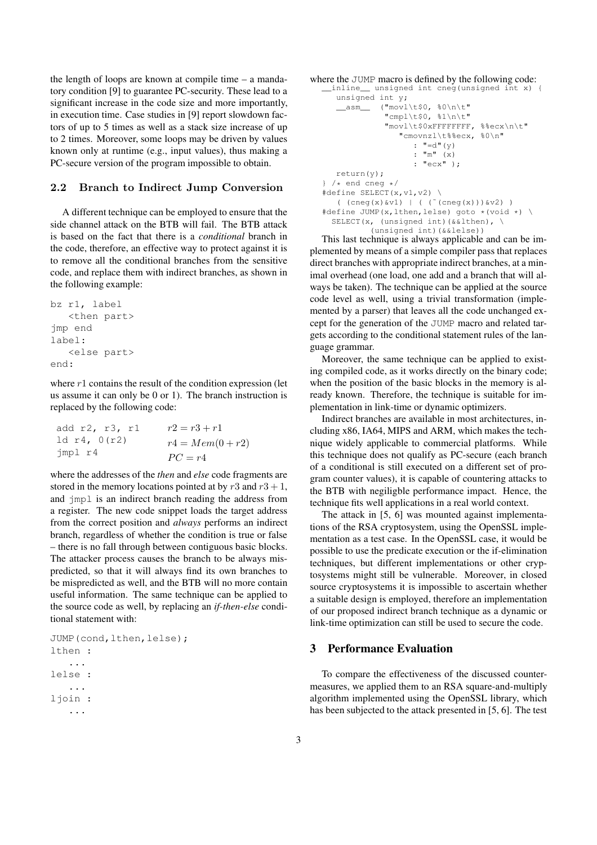the length of loops are known at compile time – a mandatory condition [9] to guarantee PC-security. These lead to a significant increase in the code size and more importantly, in execution time. Case studies in [9] report slowdown factors of up to 5 times as well as a stack size increase of up to 2 times. Moreover, some loops may be driven by values known only at runtime (e.g., input values), thus making a PC-secure version of the program impossible to obtain.

## 2.2 Branch to Indirect Jump Conversion

A different technique can be employed to ensure that the side channel attack on the BTB will fail. The BTB attack is based on the fact that there is a *conditional* branch in the code, therefore, an effective way to protect against it is to remove all the conditional branches from the sensitive code, and replace them with indirect branches, as shown in the following example:

```
bz r1, label
   <then part>
jmp end
label:
   <else part>
end:
```
where  $r_1$  contains the result of the condition expression (let us assume it can only be 0 or 1). The branch instruction is replaced by the following code:

add r2, r3, r1 
$$
r2 = r3 + r1
$$
  
1d r4, 0(r2)  $r4 = Mem(0 + r2)$   
impl r4  $PC = r4$ 

where the addresses of the *then* and *else* code fragments are stored in the memory locations pointed at by  $r3$  and  $r3 + 1$ , and jmpl is an indirect branch reading the address from a register. The new code snippet loads the target address from the correct position and *always* performs an indirect branch, regardless of whether the condition is true or false – there is no fall through between contiguous basic blocks. The attacker process causes the branch to be always mispredicted, so that it will always find its own branches to be mispredicted as well, and the BTB will no more contain useful information. The same technique can be applied to the source code as well, by replacing an *if-then-else* conditional statement with:

```
JUMP(cond, lthen, lelse);
lthen :
   ...
lelse :
   ...
ljoin :
   ...
```
where the JUMP macro is defined by the following code:

```
__inline__ unsigned int cneg(unsigned int x) {
   unsigned int y;
   __asm__ ("movl\t$0, %0\n\t"
              "cmpl\t$0, %1\n\t"
              "movl\t$0xFFFFFFFF, %%ecx\n\t"
                 "cmovnzl\t%%ecx, %0\n"
                    : "=\mathrm{d}"(y): \mathbf{m}" (x)
                    : "ecx" );
   return(y);
} / * end cneq */#define SELECT(x,v1,v2) \
   ( (cneg(x)&v1) | ( (˜(cneg(x)))&v2) )
#define JUMP(x,lthen,lelse) goto *(void *) \
  SELECT(x, (unsigned int)(&&lthen), \setminus(unsigned int)(&&lelse))
```
This last technique is always applicable and can be implemented by means of a simple compiler pass that replaces direct branches with appropriate indirect branches, at a minimal overhead (one load, one add and a branch that will always be taken). The technique can be applied at the source code level as well, using a trivial transformation (implemented by a parser) that leaves all the code unchanged except for the generation of the JUMP macro and related targets according to the conditional statement rules of the language grammar.

Moreover, the same technique can be applied to existing compiled code, as it works directly on the binary code; when the position of the basic blocks in the memory is already known. Therefore, the technique is suitable for implementation in link-time or dynamic optimizers.

Indirect branches are available in most architectures, including x86, IA64, MIPS and ARM, which makes the technique widely applicable to commercial platforms. While this technique does not qualify as PC-secure (each branch of a conditional is still executed on a different set of program counter values), it is capable of countering attacks to the BTB with negiligble performance impact. Hence, the technique fits well applications in a real world context.

The attack in [5, 6] was mounted against implementations of the RSA cryptosystem, using the OpenSSL implementation as a test case. In the OpenSSL case, it would be possible to use the predicate execution or the if-elimination techniques, but different implementations or other cryptosystems might still be vulnerable. Moreover, in closed source cryptosystems it is impossible to ascertain whether a suitable design is employed, therefore an implementation of our proposed indirect branch technique as a dynamic or link-time optimization can still be used to secure the code.

## **3 Performance Evaluation**

To compare the effectiveness of the discussed countermeasures, we applied them to an RSA square-and-multiply algorithm implemented using the OpenSSL library, which has been subjected to the attack presented in [5, 6]. The test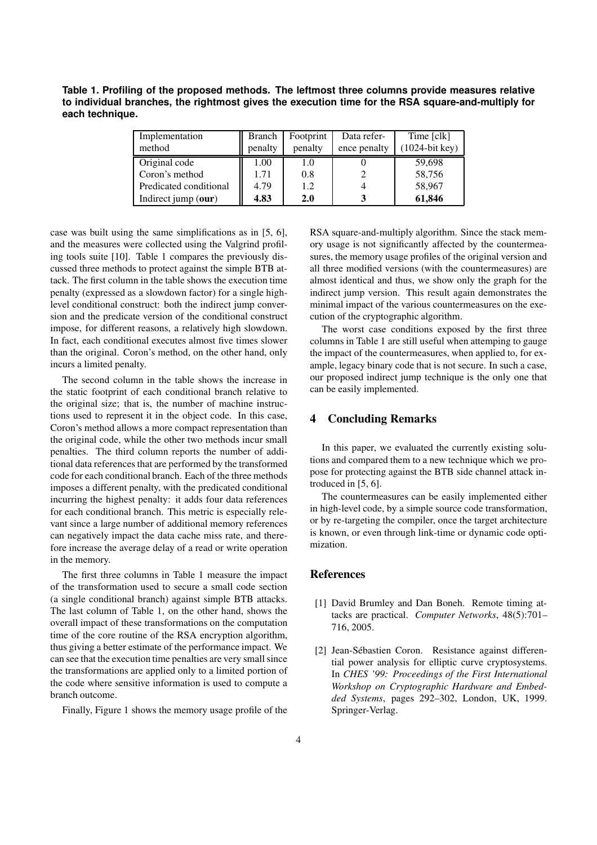**Table 1. Profiling of the proposed methods. The leftmost three columns provide measures relative to individual branches, the rightmost gives the execution time for the RSA square-and-multiply for each technique.**

| Implementation         | <b>Branch</b> | Footprint | Data refer-  | Time [clk]       |
|------------------------|---------------|-----------|--------------|------------------|
| method                 | penalty       | penalty   | ence penalty | $(1024-bit key)$ |
| Original code          | 1.00          | 1.0       |              | 59,698           |
| Coron's method         | 1.71          | 0.8       |              | 58,756           |
| Predicated conditional | 4.79          | 1.2       |              | 58,967           |
| Indirect jump (our)    | 4.83          | 2.0       |              | 61,846           |

case was built using the same simplifications as in [5, 6], and the measures were collected using the Valgrind profiling tools suite [10]. Table 1 compares the previously discussed three methods to protect against the simple BTB attack. The first column in the table shows the execution time penalty (expressed as a slowdown factor) for a single highlevel conditional construct: both the indirect jump conversion and the predicate version of the conditional construct impose, for different reasons, a relatively high slowdown. In fact, each conditional executes almost five times slower than the original. Coron's method, on the other hand, only incurs a limited penalty.

The second column in the table shows the increase in the static footprint of each conditional branch relative to the original size; that is, the number of machine instructions used to represent it in the object code. In this case, Coron's method allows a more compact representation than the original code, while the other two methods incur small penalties. The third column reports the number of additional data references that are performed by the transformed code for each conditional branch. Each of the three methods imposes a different penalty, with the predicated conditional incurring the highest penalty: it adds four data references for each conditional branch. This metric is especially relevant since a large number of additional memory references can negatively impact the data cache miss rate, and therefore increase the average delay of a read or write operation in the memory.

The first three columns in Table 1 measure the impact of the transformation used to secure a small code section (a single conditional branch) against simple BTB attacks. The last column of Table 1, on the other hand, shows the overall impact of these transformations on the computation time of the core routine of the RSA encryption algorithm, thus giving a better estimate of the performance impact. We can see that the execution time penalties are very small since the transformations are applied only to a limited portion of the code where sensitive information is used to compute a branch outcome.

Finally, Figure 1 shows the memory usage profile of the

RSA square-and-multiply algorithm. Since the stack memory usage is not significantly affected by the countermeasures, the memory usage profiles of the original version and all three modified versions (with the countermeasures) are almost identical and thus, we show only the graph for the indirect jump version. This result again demonstrates the minimal impact of the various countermeasures on the execution of the cryptographic algorithm.

The worst case conditions exposed by the first three columns in Table 1 are still useful when attemping to gauge the impact of the countermeasures, when applied to, for example, legacy binary code that is not secure. In such a case, our proposed indirect jump technique is the only one that can be easily implemented.

# **4 Concluding Remarks**

In this paper, we evaluated the currently existing solutions and compared them to a new technique which we propose for protecting against the BTB side channel attack introduced in [5, 6].

The countermeasures can be easily implemented either in high-level code, by a simple source code transformation, or by re-targeting the compiler, once the target architecture is known, or even through link-time or dynamic code optimization.

## **References**

- [1] David Brumley and Dan Boneh. Remote timing attacks are practical. *Computer Networks*, 48(5):701– 716, 2005.
- [2] Jean-Sébastien Coron. Resistance against differential power analysis for elliptic curve cryptosystems. In *CHES '99: Proceedings of the First International Workshop on Cryptographic Hardware and Embedded Systems*, pages 292–302, London, UK, 1999. Springer-Verlag.